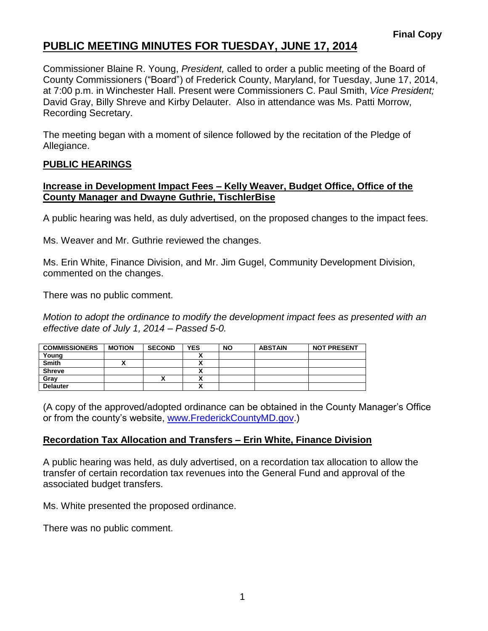# **PUBLIC MEETING MINUTES FOR TUESDAY, JUNE 17, 2014**

Commissioner Blaine R. Young, *President,* called to order a public meeting of the Board of County Commissioners ("Board") of Frederick County, Maryland, for Tuesday, June 17, 2014, at 7:00 p.m. in Winchester Hall. Present were Commissioners C. Paul Smith, *Vice President;* David Gray, Billy Shreve and Kirby Delauter. Also in attendance was Ms. Patti Morrow, Recording Secretary.

The meeting began with a moment of silence followed by the recitation of the Pledge of Allegiance.

## **PUBLIC HEARINGS**

## **Increase in Development Impact Fees – Kelly Weaver, Budget Office, Office of the County Manager and Dwayne Guthrie, TischlerBise**

A public hearing was held, as duly advertised, on the proposed changes to the impact fees.

Ms. Weaver and Mr. Guthrie reviewed the changes.

Ms. Erin White, Finance Division, and Mr. Jim Gugel, Community Development Division, commented on the changes.

There was no public comment.

*Motion to adopt the ordinance to modify the development impact fees as presented with an effective date of July 1, 2014 – Passed 5-0.*

| <b>COMMISSIONERS</b> | <b>MOTION</b> | <b>SECOND</b> | <b>YES</b>                | <b>NO</b> | <b>ABSTAIN</b> | <b>NOT PRESENT</b> |
|----------------------|---------------|---------------|---------------------------|-----------|----------------|--------------------|
| Young                |               |               |                           |           |                |                    |
| <b>Smith</b>         |               |               |                           |           |                |                    |
| <b>Shreve</b>        |               |               |                           |           |                |                    |
| Gray                 |               |               |                           |           |                |                    |
| <b>Delauter</b>      |               |               | $\ddot{\phantom{0}}$<br>~ |           |                |                    |

(A copy of the approved/adopted ordinance can be obtained in the County Manager's Office or from the county's website, [www.FrederickCountyMD.gov.](http://www.frederickcountymd.gov/))

# **Recordation Tax Allocation and Transfers – Erin White, Finance Division**

A public hearing was held, as duly advertised, on a recordation tax allocation to allow the transfer of certain recordation tax revenues into the General Fund and approval of the associated budget transfers.

Ms. White presented the proposed ordinance.

There was no public comment.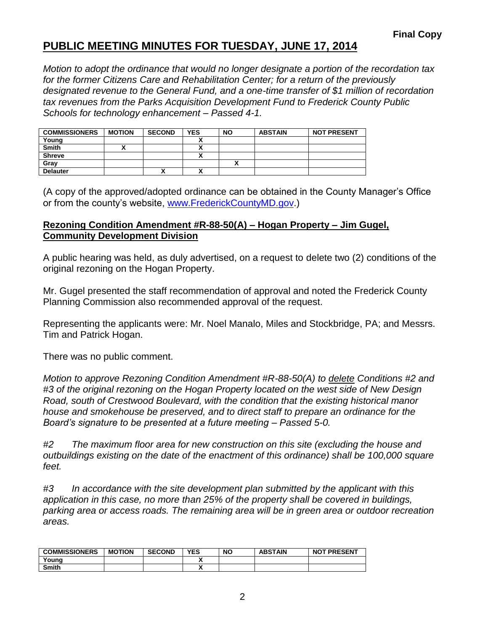# **PUBLIC MEETING MINUTES FOR TUESDAY, JUNE 17, 2014**

*Motion to adopt the ordinance that would no longer designate a portion of the recordation tax for the former Citizens Care and Rehabilitation Center; for a return of the previously designated revenue to the General Fund, and a one-time transfer of \$1 million of recordation tax revenues from the Parks Acquisition Development Fund to Frederick County Public Schools for technology enhancement – Passed 4-1.*

| <b>COMMISSIONERS</b> | <b>MOTION</b> | <b>SECOND</b> | <b>YES</b> | <b>NO</b> | <b>ABSTAIN</b> | <b>NOT PRESENT</b> |
|----------------------|---------------|---------------|------------|-----------|----------------|--------------------|
| Young                |               |               |            |           |                |                    |
| <b>Smith</b>         |               |               |            |           |                |                    |
| <b>Shreve</b>        |               |               |            |           |                |                    |
| Gray                 |               |               |            |           |                |                    |
| <b>Delauter</b>      |               | Λ             |            |           |                |                    |

(A copy of the approved/adopted ordinance can be obtained in the County Manager's Office or from the county's website, [www.FrederickCountyMD.gov.](http://www.frederickcountymd.gov/))

#### **Rezoning Condition Amendment #R-88-50(A) – Hogan Property – Jim Gugel, Community Development Division**

A public hearing was held, as duly advertised, on a request to delete two (2) conditions of the original rezoning on the Hogan Property.

Mr. Gugel presented the staff recommendation of approval and noted the Frederick County Planning Commission also recommended approval of the request.

Representing the applicants were: Mr. Noel Manalo, Miles and Stockbridge, PA; and Messrs. Tim and Patrick Hogan.

There was no public comment.

*Motion to approve Rezoning Condition Amendment #R-88-50(A) to delete Conditions #2 and #3 of the original rezoning on the Hogan Property located on the west side of New Design Road, south of Crestwood Boulevard, with the condition that the existing historical manor house and smokehouse be preserved, and to direct staff to prepare an ordinance for the Board's signature to be presented at a future meeting – Passed 5-0.*

*#2 The maximum floor area for new construction on this site (excluding the house and outbuildings existing on the date of the enactment of this ordinance) shall be 100,000 square feet.*

*#3 In accordance with the site development plan submitted by the applicant with this application in this case, no more than 25% of the property shall be covered in buildings, parking area or access roads. The remaining area will be in green area or outdoor recreation areas.*

| <b>COMMISSIONERS</b> | <b>MOTION</b> | <b>SECOND</b> | YES | <b>NO</b> | <b>ABSTAIN</b> | <b>NOT PRESENT</b> |
|----------------------|---------------|---------------|-----|-----------|----------------|--------------------|
| Youna                |               |               |     |           |                |                    |
| <b>Smith</b>         |               |               | ,,  |           |                |                    |